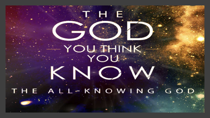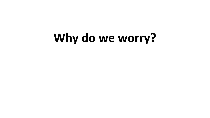# **Why do we worry?**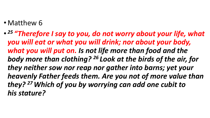#### • Matthew 6

• *<sup>25</sup> "Therefore I say to you, do not worry about your life, what you will eat or what you will drink; nor about your body, what you will put on. Is not life more than food and the body more than clothing? <sup>26</sup> Look at the birds of the air, for they neither sow nor reap nor gather into barns; yet your heavenly Father feeds them. Are you not of more value than they? <sup>27</sup>Which of you by worrying can add one cubit to his stature?*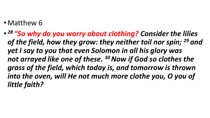#### • Matthew 6

• *<sup>28</sup> "So why do you worry about clothing? Consider the lilies of the field, how they grow: they neither toil nor spin; <sup>29</sup> and yet I say to you that even Solomon in all his glory was not arrayed like one of these. <sup>30</sup>Now if God so clothes the grass of the field, which today is, and tomorrow is thrown into the oven, will He not much more clothe you, O you of little faith?*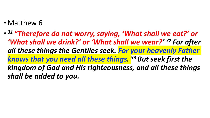#### • Matthew 6

• *<sup>31</sup> "Therefore do not worry, saying, 'What shall we eat?' or 'What shall we drink?' or 'What shall we wear?' <sup>32</sup> For after all these things the Gentiles seek. For your heavenly Father knows that you need all these things. <sup>33</sup> But seek first the kingdom of God and His righteousness, and all these things shall be added to you.*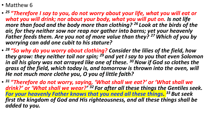- Matthew 6
- *<sup>25</sup> "Therefore I say to you, do not worry about your life, what you will eat or what you will drink; nor about your body, what you will put on. Is not life more than food and the body more than clothing? <sup>26</sup> Look at the birds of the air, for they neither sow nor reap nor gather into barns; yet your heavenly Father feeds them. Are you not of more value than they? <sup>27</sup> Which of you by worrying can add one cubit to his stature?*
- *<sup>28</sup> "So why do you worry about clothing? Consider the lilies of the field, how they grow: they neither toil nor spin; <sup>29</sup> and yet I say to you that even Solomon in all his glory was not arrayed like one of these. <sup>30</sup>Now if God so clothes the grass of the field, which today is, and tomorrow is thrown into the oven, will He not much more clothe you, O you of little faith?*
- *<sup>31</sup> "Therefore do not worry, saying, 'What shall we eat?' or 'What shall we drink?' or 'What shall we wear?' <sup>32</sup> For after all these things the Gentiles seek. For your heavenly Father knows that you need all these things. <sup>33</sup> But seek first the kingdom of God and His righteousness, and all these things shall be added to you.*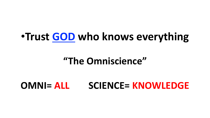# •**Trust GOD who knows everything**

## **"The Omniscience"**

## **OMNI= ALL SCIENCE= KNOWLEDGE**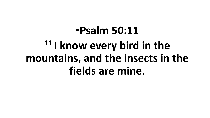# •**Psalm 50:11 <sup>11</sup> I know every bird in the mountains, and the insects in the fields are mine.**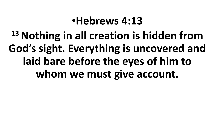# •**Hebrews 4:13**

# **<sup>13</sup>Nothing in all creation is hidden from God's sight. Everything is uncovered and laid bare before the eyes of him to whom we must give account.**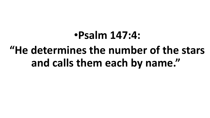## •**Psalm 147:4:**

# **"He determines the number of the stars and calls them each by name."**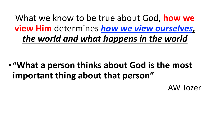What we know to be true about God, **how we view Him** determines *how we view ourselves, the world and what happens in the world*

•**"What a person thinks about God is the most important thing about that person"** 

AW Tozer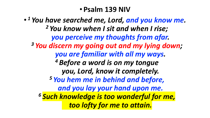#### • **Psalm 139 NIV**

• *<sup>1</sup> You have searched me, Lord, and you know me. <sup>2</sup> You know when I sit and when I rise; you perceive my thoughts from afar. <sup>3</sup> You discern my going out and my lying down; you are familiar with all my ways. <sup>4</sup> Before a word is on my tongue you, Lord, know it completely. <sup>5</sup> You hem me in behind and before, and you lay your hand upon me. <sup>6</sup> Such knowledge is too wonderful for me, too lofty for me to attain.*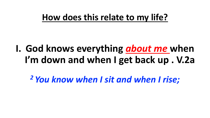**I. God knows everything** *about me* **when I'm down and when I get back up . V.2a**

*<sup>2</sup> You know when I sit and when I rise;*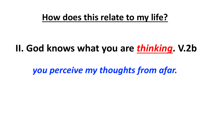## **II. God knows what you are** *thinking***. V.2b**

*you perceive my thoughts from afar.*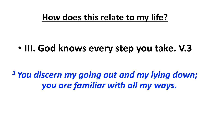## • **III. God knows every step you take. V.3**

*<sup>3</sup> You discern my going out and my lying down; you are familiar with all my ways.*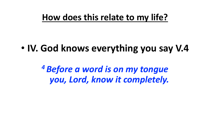• **IV. God knows everything you say V.4**

*<sup>4</sup> Before a word is on my tongue you, Lord, know it completely.*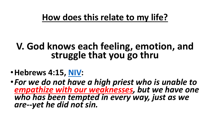## **V. God knows each feeling, emotion, and struggle that you go thru**

•**Hebrews 4:15, [NIV:](http://www.christianbook.com/page/bibles/translations/niv?navcat=Bibles|Translations|NIV)** 

•*For we do not have a high priest who is unable to empathize with our weaknesses, but we have one who has been tempted in every way, just as we are--yet he did not sin.*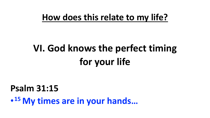# **VI. God knows the perfect timing for your life**

#### **Psalm 31:15**

• **<sup>15</sup> My times are in your hands…**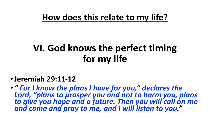# **VI. God knows the perfect timing for my life**

#### •**Jeremiah 29:11-12**

• *" For I know the plans I have for you," declares the Lord, "plans to prosper you and not to harm you, plans to give you hope and a future. Then you will call on me and come and pray to me, and I will listen to you."*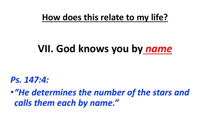# **VII. God knows you by** *name*

*Ps. 147:4:*

•*"He determines the number of the stars and calls them each by name."*